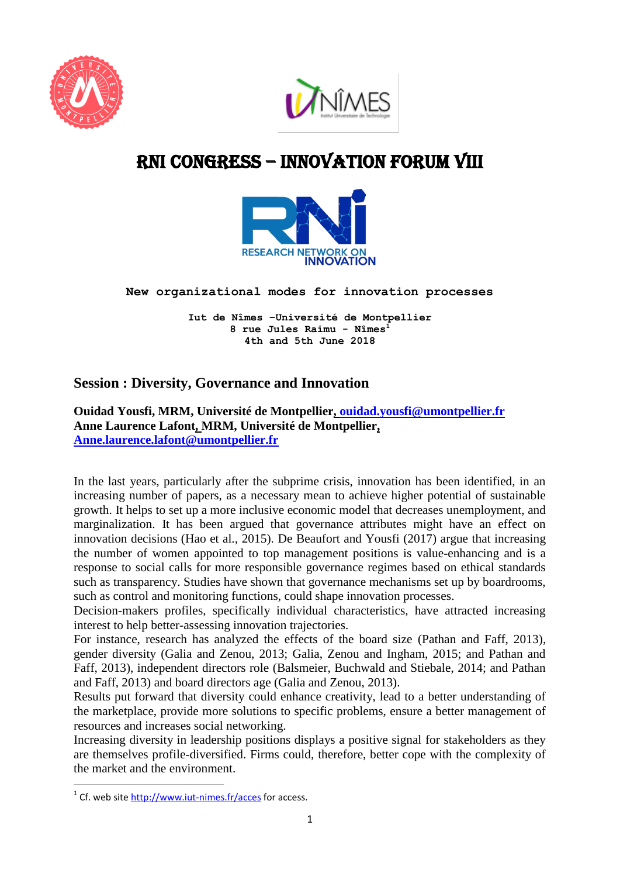



# RNI cONGRESS – innovation Forum VIII



#### **New organizational modes for innovation processes**

**Iut de Nîmes –Université de Montpellier 8 rue Jules Raimu - Nîmes<sup>1</sup> 4th and 5th June 2018**

# **Session : Diversity, Governance and Innovation**

### **Ouidad Yousfi, MRM, Université de Montpellier, [ouidad.yousfi@umontpellier.fr](mailto:ouidad.yousfi@umontpellier.fr) Anne Laurence Lafont, MRM, Université de Montpellier, [Anne.laurence.lafont@umontpellier.fr](mailto:Anne.laurence.lafont@umontpellier.fr)**

In the last years, particularly after the subprime crisis, innovation has been identified, in an increasing number of papers, as a necessary mean to achieve higher potential of sustainable growth. It helps to set up a more inclusive economic model that decreases unemployment, and marginalization. It has been argued that governance attributes might have an effect on innovation decisions (Hao et al., 2015). De Beaufort and Yousfi (2017) argue that increasing the number of women appointed to top management positions is value-enhancing and is a response to social calls for more responsible governance regimes based on ethical standards such as transparency. Studies have shown that governance mechanisms set up by boardrooms, such as control and monitoring functions, could shape innovation processes.

Decision-makers profiles, specifically individual characteristics, have attracted increasing interest to help better-assessing innovation trajectories.

For instance, research has analyzed the effects of the board size (Pathan and Faff, 2013), gender diversity (Galia and Zenou, 2013; Galia, Zenou and Ingham, 2015; and Pathan and Faff, 2013), independent directors role (Balsmeier, Buchwald and Stiebale, 2014; and Pathan and Faff, 2013) and board directors age (Galia and Zenou, 2013).

Results put forward that diversity could enhance creativity, lead to a better understanding of the marketplace, provide more solutions to specific problems, ensure a better management of resources and increases social networking.

Increasing diversity in leadership positions displays a positive signal for stakeholders as they are themselves profile-diversified. Firms could, therefore, better cope with the complexity of the market and the environment.

**.** 

<sup>&</sup>lt;sup>1</sup> Cf. web site<http://www.iut-nimes.fr/acces> for access.